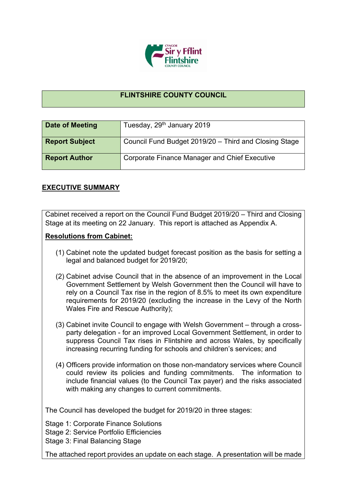

## **FLINTSHIRE COUNTY COUNCIL**

| Date of Meeting       | Tuesday, 29 <sup>th</sup> January 2019                |
|-----------------------|-------------------------------------------------------|
| <b>Report Subject</b> | Council Fund Budget 2019/20 - Third and Closing Stage |
| <b>Report Author</b>  | Corporate Finance Manager and Chief Executive         |

## **EXECUTIVE SUMMARY**

Cabinet received a report on the Council Fund Budget 2019/20 – Third and Closing Stage at its meeting on 22 January. This report is attached as Appendix A.

## **Resolutions from Cabinet:**

- (1) Cabinet note the updated budget forecast position as the basis for setting a legal and balanced budget for 2019/20;
- (2) Cabinet advise Council that in the absence of an improvement in the Local Government Settlement by Welsh Government then the Council will have to rely on a Council Tax rise in the region of 8.5% to meet its own expenditure requirements for 2019/20 (excluding the increase in the Levy of the North Wales Fire and Rescue Authority);
- (3) Cabinet invite Council to engage with Welsh Government through a crossparty delegation - for an improved Local Government Settlement, in order to suppress Council Tax rises in Flintshire and across Wales, by specifically increasing recurring funding for schools and children's services; and
- (4) Officers provide information on those non-mandatory services where Council could review its policies and funding commitments. The information to include financial values (to the Council Tax payer) and the risks associated with making any changes to current commitments.

The Council has developed the budget for 2019/20 in three stages:

Stage 1: Corporate Finance Solutions

Stage 2: Service Portfolio Efficiencies

Stage 3: Final Balancing Stage

The attached report provides an update on each stage. A presentation will be made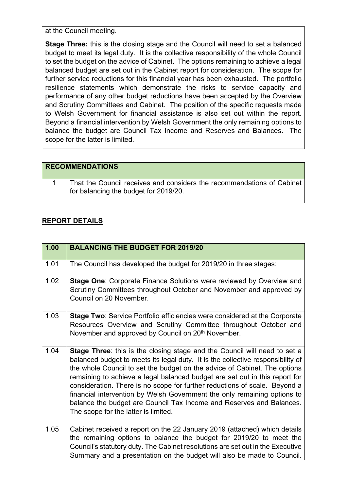at the Council meeting.

**Stage Three:** this is the closing stage and the Council will need to set a balanced budget to meet its legal duty. It is the collective responsibility of the whole Council to set the budget on the advice of Cabinet. The options remaining to achieve a legal balanced budget are set out in the Cabinet report for consideration. The scope for further service reductions for this financial year has been exhausted. The portfolio resilience statements which demonstrate the risks to service capacity and performance of any other budget reductions have been accepted by the Overview and Scrutiny Committees and Cabinet. The position of the specific requests made to Welsh Government for financial assistance is also set out within the report. Beyond a financial intervention by Welsh Government the only remaining options to balance the budget are Council Tax Income and Reserves and Balances. The scope for the latter is limited.

| <b>RECOMMENDATIONS</b>                                                                                                        |
|-------------------------------------------------------------------------------------------------------------------------------|
| That the Council receives and considers the recommendations of Cabinet<br>$\frac{1}{2}$ for balancing the budget for 2019/20. |

## **REPORT DETAILS**

| 1.00 | <b>BALANCING THE BUDGET FOR 2019/20</b>                                                                                                                                                                                                                                                                                                                                                                                                                                                                                                                                                            |
|------|----------------------------------------------------------------------------------------------------------------------------------------------------------------------------------------------------------------------------------------------------------------------------------------------------------------------------------------------------------------------------------------------------------------------------------------------------------------------------------------------------------------------------------------------------------------------------------------------------|
| 1.01 | The Council has developed the budget for 2019/20 in three stages:                                                                                                                                                                                                                                                                                                                                                                                                                                                                                                                                  |
| 1.02 | Stage One: Corporate Finance Solutions were reviewed by Overview and<br>Scrutiny Committees throughout October and November and approved by<br>Council on 20 November.                                                                                                                                                                                                                                                                                                                                                                                                                             |
| 1.03 | <b>Stage Two: Service Portfolio efficiencies were considered at the Corporate</b><br>Resources Overview and Scrutiny Committee throughout October and<br>November and approved by Council on 20 <sup>th</sup> November.                                                                                                                                                                                                                                                                                                                                                                            |
| 1.04 | Stage Three: this is the closing stage and the Council will need to set a<br>balanced budget to meets its legal duty. It is the collective responsibility of<br>the whole Council to set the budget on the advice of Cabinet. The options<br>remaining to achieve a legal balanced budget are set out in this report for<br>consideration. There is no scope for further reductions of scale. Beyond a<br>financial intervention by Welsh Government the only remaining options to<br>balance the budget are Council Tax Income and Reserves and Balances.<br>The scope for the latter is limited. |
| 1.05 | Cabinet received a report on the 22 January 2019 (attached) which details<br>the remaining options to balance the budget for 2019/20 to meet the<br>Council's statutory duty. The Cabinet resolutions are set out in the Executive<br>Summary and a presentation on the budget will also be made to Council.                                                                                                                                                                                                                                                                                       |